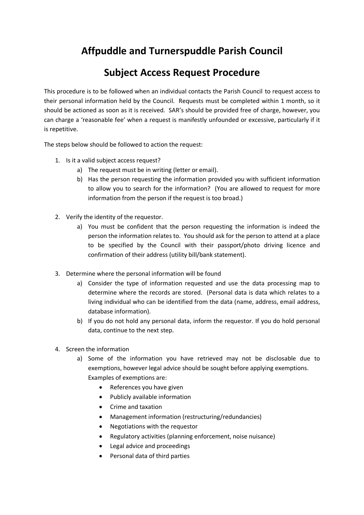# **Affpuddle and Turnerspuddle Parish Council**

## **Subject Access Request Procedure**

This procedure is to be followed when an individual contacts the Parish Council to request access to their personal information held by the Council. Requests must be completed within 1 month, so it should be actioned as soon as it is received. SAR's should be provided free of charge, however, you can charge a 'reasonable fee' when a request is manifestly unfounded or excessive, particularly if it is repetitive.

The steps below should be followed to action the request:

- 1. Is it a valid subject access request?
	- a) The request must be in writing (letter or email).
	- b) Has the person requesting the information provided you with sufficient information to allow you to search for the information? (You are allowed to request for more information from the person if the request is too broad.)
- 2. Verify the identity of the requestor.
	- a) You must be confident that the person requesting the information is indeed the person the information relates to. You should ask for the person to attend at a place to be specified by the Council with their passport/photo driving licence and confirmation of their address (utility bill/bank statement).
- 3. Determine where the personal information will be found
	- a) Consider the type of information requested and use the data processing map to determine where the records are stored. (Personal data is data which relates to a living individual who can be identified from the data (name, address, email address, database information).
	- b) If you do not hold any personal data, inform the requestor. If you do hold personal data, continue to the next step.
- 4. Screen the information
	- a) Some of the information you have retrieved may not be disclosable due to exemptions, however legal advice should be sought before applying exemptions. Examples of exemptions are:
		- References you have given
		- Publicly available information
		- Crime and taxation
		- Management information (restructuring/redundancies)
		- Negotiations with the requestor
		- Regulatory activities (planning enforcement, noise nuisance)
		- Legal advice and proceedings
		- Personal data of third parties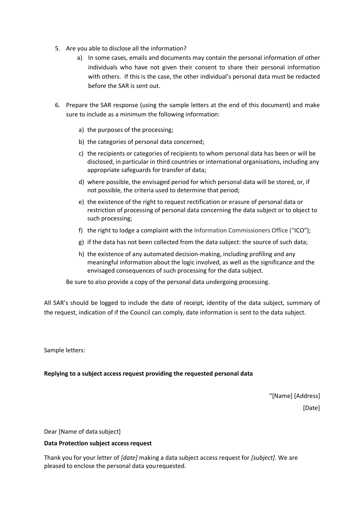- 5. Are you able to disclose all the information?
	- a) In some cases, emails and documents may contain the personal information of other individuals who have not given their consent to share their personal information with others. If this is the case, the other individual's personal data must be redacted before the SAR is sent out.
- 6. Prepare the SAR response (using the sample letters at the end of this document) and make sure to include as a minimum the following information:
	- a) the purposes of the processing;
	- b) the categories of personal data concerned;
	- c) the recipients or categories of recipients to whom personal data has been or will be disclosed, in particular in third countries or international organisations, including any appropriate safeguards for transfer of data;
	- d) where possible, the envisaged period for which personal data will be stored, or, if not possible, the criteria used to determine that period;
	- e) the existence of the right to request rectification or erasure of personal data or restriction of processing of personal data concerning the data subject or to object to such processing;
	- f) the right to lodge a complaint with the Information Commissioners Office ("ICO");
	- g) if the data has not been collected from the data subject: the source of such data;
	- h) the existence of any automated decision-making, including profiling and any meaningful information about the logic involved, as well as the significance and the envisaged consequences of such processing for the data subject.

Be sure to also provide a copy of the personal data undergoing processing.

All SAR's should be logged to include the date of receipt, identity of the data subject, summary of the request, indication of if the Council can comply, date information is sent to the data subject.

Sample letters:

### **Replying to a subject access request providing the requested personal data**

"[Name] [Address] [Date]

Dear [Name of data subject]

#### **Data Protection subject access request**

Thank you for your letter of *[date]* making a data subject access request for *[subject]*. We are pleased to enclose the personal data yourequested.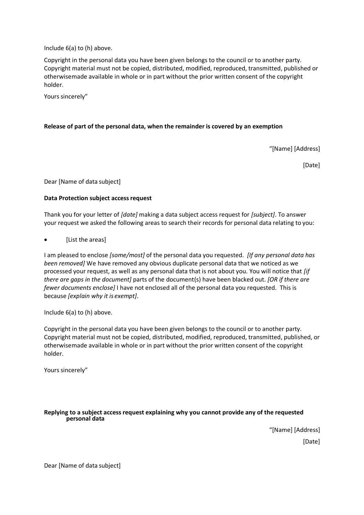Include 6(a) to (h) above.

Copyright in the personal data you have been given belongs to the council or to another party. Copyright material must not be copied, distributed, modified, reproduced, transmitted, published or otherwisemade available in whole or in part without the prior written consent of the copyright holder.

Yours sincerely"

#### **Release of part of the personal data, when the remainder is covered by an exemption**

"[Name] [Address]

[Date]

Dear [Name of data subject]

#### **Data Protection subject access request**

Thank you for your letter of *[date]* making a data subject access request for *[subject]*. To answer your request we asked the following areas to search their records for personal data relating to you:

• [List the areas]

I am pleased to enclose *[some/most]* of the personal data you requested. *[If any personal data has been removed]* We have removed any obvious duplicate personal data that we noticed as we processed your request, as well as any personal data that is not about you. You will notice that *[if there are gaps in the document]* parts of the document(s) have been blacked out. *[OR if there are fewer documents enclose]* I have not enclosed all of the personal data you requested. This is because *[explain why it is exempt]*.

Include 6(a) to (h) above.

Copyright in the personal data you have been given belongs to the council or to another party. Copyright material must not be copied, distributed, modified, reproduced, transmitted, published, or otherwisemade available in whole or in part without the prior written consent of the copyright holder.

Yours sincerely"

#### **Replying to a subject access request explaining why you cannot provide any of the requested personal data**

"[Name] [Address] [Date]

Dear [Name of data subject]